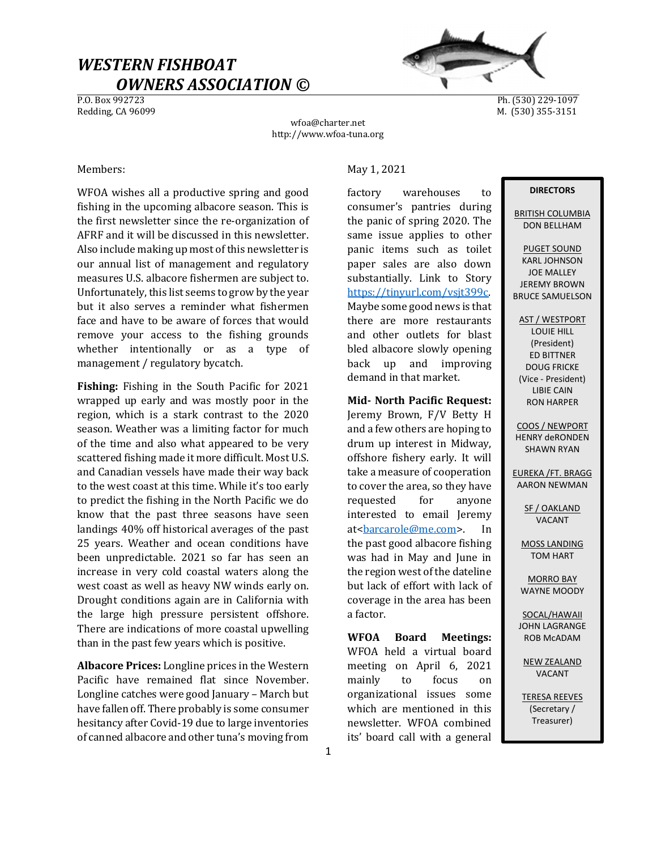# WESTERN FISHBOAT  $\frac{OWNERS}{P.0.~\text{Box}~992723}$



Ph. (530) 229-1097 Redding, CA 96099 M. (530) 355-3151

wfoa@charter.net http://www.wfoa-tuna.org

WFOA wishes all a productive spring and good fishing in the upcoming albacore season. This is the first newsletter since the re-organization of AFRF and it will be discussed in this newsletter. Also include making up most of this newsletter is our annual list of management and regulatory measures U.S. albacore fishermen are subject to. Unfortunately, this list seems to grow by the year but it also serves a reminder what fishermen face and have to be aware of forces that would remove your access to the fishing grounds whether intentionally or as a type of management / regulatory bycatch.

Fishing: Fishing in the South Pacific for 2021 wrapped up early and was mostly poor in the region, which is a stark contrast to the 2020 season. Weather was a limiting factor for much of the time and also what appeared to be very scattered fishing made it more difficult. Most U.S. and Canadian vessels have made their way back to the west coast at this time. While it's too early to predict the fishing in the North Pacific we do know that the past three seasons have seen landings 40% off historical averages of the past 25 years. Weather and ocean conditions have been unpredictable. 2021 so far has seen an increase in very cold coastal waters along the west coast as well as heavy NW winds early on. Drought conditions again are in California with the large high pressure persistent offshore. There are indications of more coastal upwelling than in the past few years which is positive.

Albacore Prices: Longline prices in the Western Pacific have remained flat since November. Longline catches were good January – March but have fallen off. There probably is some consumer hesitancy after Covid-19 due to large inventories of canned albacore and other tuna's moving from

### Members: May 1, 2021

factory warehouses to consumer's pantries during the panic of spring 2020. The same issue applies to other panic items such as toilet paper sales are also down substantially. Link to Story https://tinyurl.com/vsjt399c. Maybe some good news is that there are more restaurants and other outlets for blast bled albacore slowly opening back up and improving demand in that market.

## Mid- North Pacific Request:

Jeremy Brown, F/V Betty H and a few others are hoping to drum up interest in Midway, offshore fishery early. It will take a measure of cooperation to cover the area, so they have requested for anyone interested to email Jeremy at<br/>barcarole@me.com>. In the past good albacore fishing was had in May and June in the region west of the dateline but lack of effort with lack of coverage in the area has been a factor.

WFOA Board Meetings: WFOA held a virtual board meeting on April 6, 2021 mainly to focus on organizational issues some which are mentioned in this newsletter. WFOA combined its' board call with a general

#### **DIRECTORS**

BRITISH COLUMBIA DON BELLHAM

PUGET SOUND KARL JOHNSON JOE MALLEY JEREMY BROWN BRUCE SAMUELSON

AST / WESTPORT LOUIE HILL (President) ED BITTNER DOUG FRICKE (Vice - President) LIBIE CAIN RON HARPER

COOS / NEWPORT HENRY deRONDEN SHAWN RYAN

EUREKA /FT. BRAGG AARON NEWMAN

> SF / OAKLAND VACANT

MOSS LANDING TOM HART

MORRO BAY WAYNE MOODY

SOCAL/HAWAII JOHN LAGRANGE ROB McADAM

NEW ZEALAND VACANT

TERESA REEVES (Secretary / Treasurer)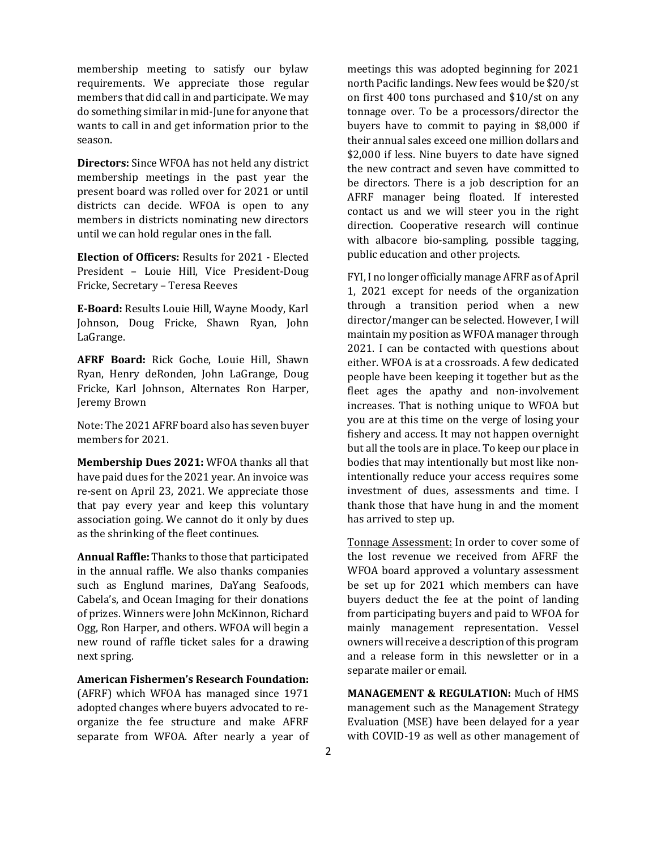membership meeting to satisfy our bylaw requirements. We appreciate those regular members that did call in and participate. We may do something similar in mid-June for anyone that wants to call in and get information prior to the season.

Directors: Since WFOA has not held any district membership meetings in the past year the present board was rolled over for 2021 or until districts can decide. WFOA is open to any members in districts nominating new directors until we can hold regular ones in the fall.

Election of Officers: Results for 2021 - Elected President – Louie Hill, Vice President-Doug Fricke, Secretary – Teresa Reeves

E-Board: Results Louie Hill, Wayne Moody, Karl Johnson, Doug Fricke, Shawn Ryan, John LaGrange.

AFRF Board: Rick Goche, Louie Hill, Shawn Ryan, Henry deRonden, John LaGrange, Doug Fricke, Karl Johnson, Alternates Ron Harper, Jeremy Brown

Note: The 2021 AFRF board also has seven buyer members for 2021.

Membership Dues 2021: WFOA thanks all that have paid dues for the 2021 year. An invoice was re-sent on April 23, 2021. We appreciate those that pay every year and keep this voluntary association going. We cannot do it only by dues as the shrinking of the fleet continues.

Annual Raffle: Thanks to those that participated in the annual raffle. We also thanks companies such as Englund marines, DaYang Seafoods, Cabela's, and Ocean Imaging for their donations of prizes. Winners were John McKinnon, Richard Ogg, Ron Harper, and others. WFOA will begin a new round of raffle ticket sales for a drawing next spring.

American Fishermen's Research Foundation: (AFRF) which WFOA has managed since 1971 adopted changes where buyers advocated to reorganize the fee structure and make AFRF separate from WFOA. After nearly a year of

meetings this was adopted beginning for 2021 north Pacific landings. New fees would be \$20/st on first 400 tons purchased and \$10/st on any tonnage over. To be a processors/director the buyers have to commit to paying in \$8,000 if their annual sales exceed one million dollars and \$2,000 if less. Nine buyers to date have signed the new contract and seven have committed to be directors. There is a job description for an AFRF manager being floated. If interested contact us and we will steer you in the right direction. Cooperative research will continue with albacore bio-sampling, possible tagging, public education and other projects.

FYI, I no longer officially manage AFRF as of April 1, 2021 except for needs of the organization through a transition period when a new director/manger can be selected. However, I will maintain my position as WFOA manager through 2021. I can be contacted with questions about either. WFOA is at a crossroads. A few dedicated people have been keeping it together but as the fleet ages the apathy and non-involvement increases. That is nothing unique to WFOA but you are at this time on the verge of losing your fishery and access. It may not happen overnight but all the tools are in place. To keep our place in bodies that may intentionally but most like nonintentionally reduce your access requires some investment of dues, assessments and time. I thank those that have hung in and the moment has arrived to step up.

Tonnage Assessment: In order to cover some of the lost revenue we received from AFRF the WFOA board approved a voluntary assessment be set up for 2021 which members can have buyers deduct the fee at the point of landing from participating buyers and paid to WFOA for mainly management representation. Vessel owners will receive a description of this program and a release form in this newsletter or in a separate mailer or email.

MANAGEMENT & REGULATION: Much of HMS management such as the Management Strategy Evaluation (MSE) have been delayed for a year with COVID-19 as well as other management of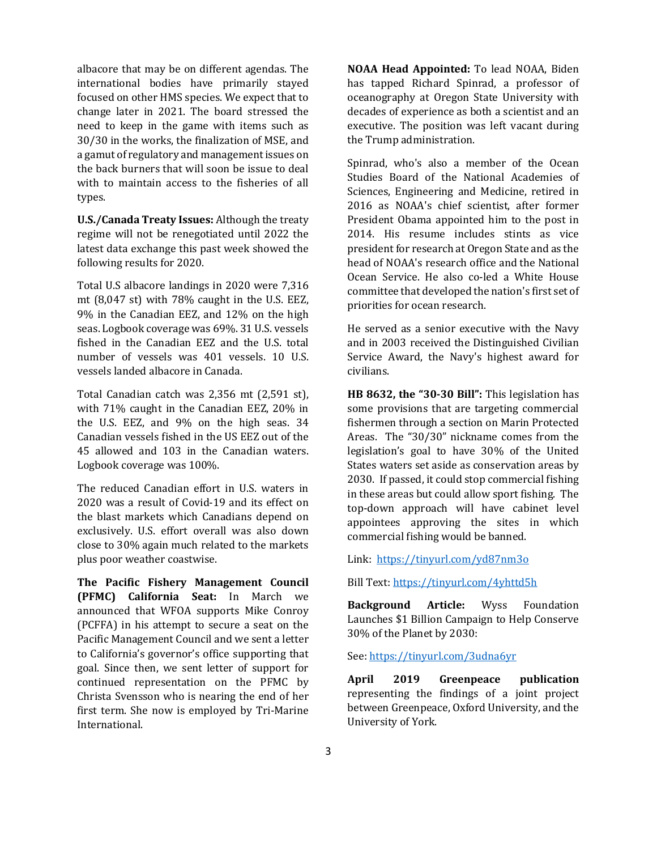albacore that may be on different agendas. The international bodies have primarily stayed focused on other HMS species. We expect that to change later in 2021. The board stressed the need to keep in the game with items such as 30/30 in the works, the finalization of MSE, and a gamut of regulatory and management issues on the back burners that will soon be issue to deal with to maintain access to the fisheries of all types.

U.S./Canada Treaty Issues: Although the treaty regime will not be renegotiated until 2022 the latest data exchange this past week showed the following results for 2020.

Total U.S albacore landings in 2020 were 7,316 mt (8,047 st) with 78% caught in the U.S. EEZ, 9% in the Canadian EEZ, and 12% on the high seas. Logbook coverage was 69%. 31 U.S. vessels fished in the Canadian EEZ and the U.S. total number of vessels was 401 vessels. 10 U.S. vessels landed albacore in Canada.

Total Canadian catch was 2,356 mt (2,591 st), with 71% caught in the Canadian EEZ, 20% in the U.S. EEZ, and 9% on the high seas. 34 Canadian vessels fished in the US EEZ out of the 45 allowed and 103 in the Canadian waters. Logbook coverage was 100%.

The reduced Canadian effort in U.S. waters in 2020 was a result of Covid-19 and its effect on the blast markets which Canadians depend on exclusively. U.S. effort overall was also down close to 30% again much related to the markets plus poor weather coastwise.

The Pacific Fishery Management Council (PFMC) California Seat: In March we announced that WFOA supports Mike Conroy (PCFFA) in his attempt to secure a seat on the Pacific Management Council and we sent a letter to California's governor's office supporting that goal. Since then, we sent letter of support for continued representation on the PFMC by Christa Svensson who is nearing the end of her first term. She now is employed by Tri-Marine International.

NOAA Head Appointed: To lead NOAA, Biden has tapped Richard Spinrad, a professor of oceanography at Oregon State University with decades of experience as both a scientist and an executive. The position was left vacant during the Trump administration.

Spinrad, who's also a member of the Ocean Studies Board of the National Academies of Sciences, Engineering and Medicine, retired in 2016 as NOAA's chief scientist, after former President Obama appointed him to the post in 2014. His resume includes stints as vice president for research at Oregon State and as the head of NOAA's research office and the National Ocean Service. He also co-led a White House committee that developed the nation's first set of priorities for ocean research.

He served as a senior executive with the Navy and in 2003 received the Distinguished Civilian Service Award, the Navy's highest award for civilians.

HB 8632, the "30-30 Bill": This legislation has some provisions that are targeting commercial fishermen through a section on Marin Protected Areas. The "30/30" nickname comes from the legislation's goal to have 30% of the United States waters set aside as conservation areas by 2030. If passed, it could stop commercial fishing in these areas but could allow sport fishing. The top-down approach will have cabinet level appointees approving the sites in which commercial fishing would be banned.

Link: https://tinyurl.com/yd87nm3o

Bill Text: https://tinyurl.com/4yhttd5h

Background Article: Wyss Foundation Launches \$1 Billion Campaign to Help Conserve 30% of the Planet by 2030:

See: https://tinyurl.com/3udna6yr

April 2019 Greenpeace publication representing the findings of a joint project between Greenpeace, Oxford University, and the University of York.